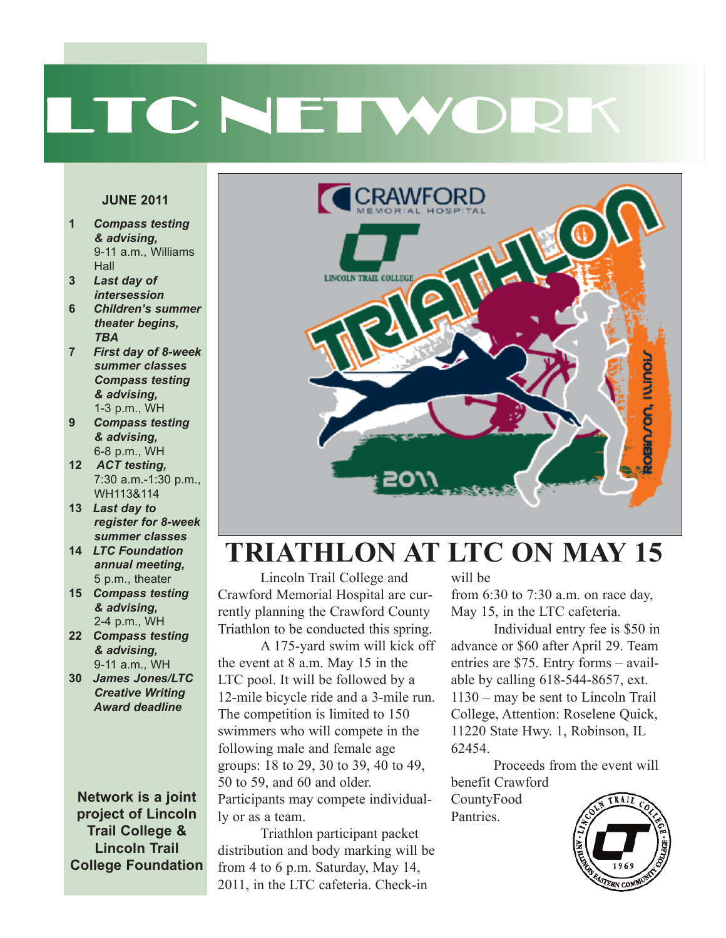# LTC NETWORK

#### **JUNE 2011**

- **1** *Compass testing & advising,* 9-11 a.m., Williams **Hall**
- **3** *Last day of* *intersession*
- **6** *Children's summer* *theater begins, TBA*
- **7** *First day of 8-week summer classes Compass testing & advising,* **&** *advising,*<br>1-3 p.m., WH
- **9** *Compass testing & advising,* 6-8 p.m., WH
- **12** *ACT testing, ACT testing,*<br>7:30 a.m.-1:30 p.m., WH113&114
- **13** *Last day to register for 8-week summer classes* 8-we<br>*SSes*<br>Ition
- **14** *LTC Foundation annual meeting,* annuar meeting,<br>5 p.m., theater
- **15** *Compass testing & advising,* 2-4 p.m., WH
- **22** *Compass testing & advising,* **&** *advising,*<br>9-11 a.m., WH
- **30** *James Jones/LTC Creative Writing* *Award deadline*

**Network is a joint project of Lincoln Trail College & Lincoln Trail College Foundation**



### *#!" & \$* **TRIATHLON AT LTC ON MAY 15**

**Crawford Memorial Hospital are cur-** from 6:30 to Triathlon to be conducted this spring. Lincoln Trail College and rently planning the Crawford County

 *!\$* groups: 18 to 29, 30 to 39, 40 to 49, 50 to 59, and 60 and older.<br>Participants may compete individual-A 175-yard swim will kick off The competition is limited to 150 the event at 8 a.m. May 15 in the LTC pool. It will be followed by a 12-mile bicycle ride and a 3-mile run. swimmers who will compete in the following male and female age 50 to 59, and 60 and older. ly or as a team.

**Triathlon participant packet**<br>
tion and body marking will be from 4 to 6 p.m. Saturday, May 14, distribution and body marking will be 2011, in the LTC cafeteria. Check-in

will be

Pantries.

*"* from 6:30 to 7:30 a.m. on race day, May 15, in the LTC cafeteria.

 $\ddot{\phantom{0}}$  $Individual entry fee is $50 in$ kick off advance or \$60 after April 29. Team m. May 15 in the entries are  $\frac{3}{5}$ . Entry forms – availing 618-544-8657, ext. nited to 150 College, Attention: Roselene Quick, entries are \$75. Entry forms – avail-1130 – may be sent to Lincoln Trail 11220 State Hwy. 1, Robinson, IL 62454.

> Proceeds from the event will benefit Crawford CountyFood

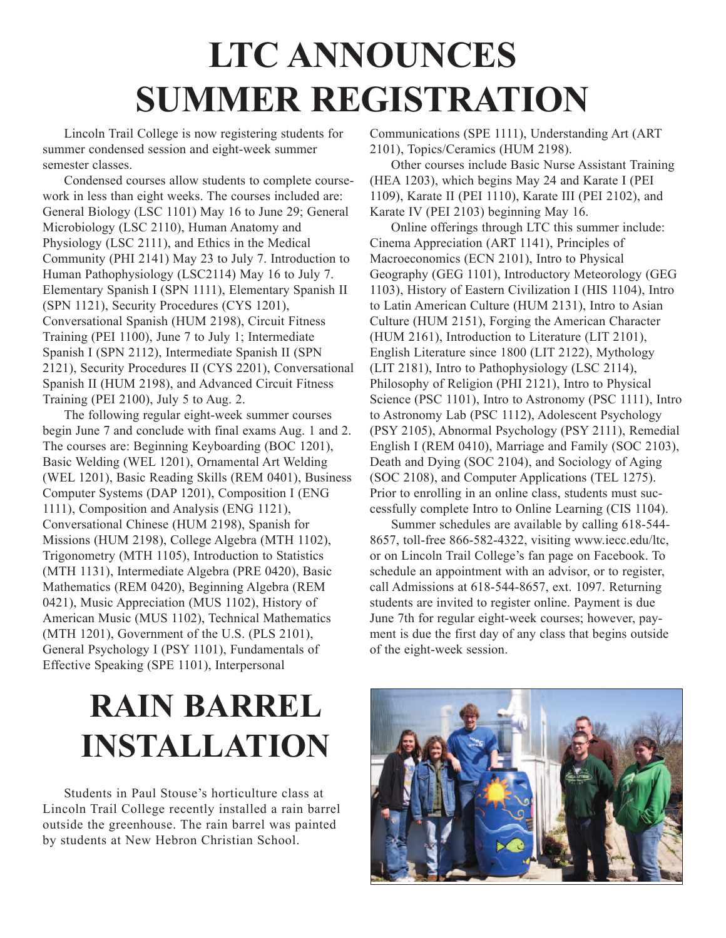# **LTC ANNOUNCES SUMMER REGISTRATION**

Lincoln Trail College is now registering students for summer condensed session and eight-week summer semester classes.

Condensed courses allow students to complete coursework in less than eight weeks. The courses included are: General Biology (LSC 1101) May 16 to June 29; General Microbiology (LSC 2110), Human Anatomy and Physiology (LSC 2111), and Ethics in the Medical Community (PHI 2141) May 23 to July 7. Introduction to Human Pathophysiology (LSC2114) May 16 to July 7. Elementary Spanish I (SPN 1111), Elementary Spanish II (SPN 1121), Security Procedures (CYS 1201), Conversational Spanish (HUM 2198), Circuit Fitness Training (PEI 1100), June 7 to July 1; Intermediate Spanish I (SPN 2112), Intermediate Spanish II (SPN 2121), Security Procedures II (CYS 2201), Conversational Spanish II (HUM 2198), and Advanced Circuit Fitness Training (PEI 2100), July 5 to Aug. 2.

The following regular eight-week summer courses begin June 7 and conclude with final exams Aug. 1 and 2. The courses are: Beginning Keyboarding (BOC 1201), Basic Welding (WEL 1201), Ornamental Art Welding (WEL 1201), Basic Reading Skills (REM 0401), Business Computer Systems (DAP 1201), Composition I (ENG 1111), Composition and Analysis (ENG 1121), Conversational Chinese (HUM 2198), Spanish for Missions (HUM 2198), College Algebra (MTH 1102), Trigonometry (MTH 1105), Introduction to Statistics (MTH 1131), Intermediate Algebra (PRE 0420), Basic Mathematics (REM 0420), Beginning Algebra (REM 0421), Music Appreciation (MUS 1102), History of American Music (MUS 1102), Technical Mathematics (MTH 1201), Government of the U.S. (PLS 2101), General Psychology I (PSY 1101), Fundamentals of Effective Speaking (SPE 1101), Interpersonal

Communications (SPE 1111), Understanding Art (ART 2101), Topics/Ceramics (HUM 2198).

Other courses include Basic Nurse Assistant Training (HEA 1203), which begins May 24 and Karate I (PEI 1109), Karate II (PEI 1110), Karate III (PEI 2102), and Karate IV (PEI 2103) beginning May 16.

Online offerings through LTC this summer include: Cinema Appreciation (ART 1141), Principles of Macroeconomics (ECN 2101), Intro to Physical Geography (GEG 1101), Introductory Meteorology (GEG 1103), History of Eastern Civilization I (HIS 1104), Intro to Latin American Culture (HUM 2131), Intro to Asian Culture (HUM 2151), Forging the American Character (HUM 2161), Introduction to Literature (LIT 2101), English Literature since 1800 (LIT 2122), Mythology (LIT 2181), Intro to Pathophysiology (LSC 2114), Philosophy of Religion (PHI 2121), Intro to Physical Science (PSC 1101), Intro to Astronomy (PSC 1111), Intro to Astronomy Lab (PSC 1112), Adolescent Psychology (PSY 2105), Abnormal Psychology (PSY 2111), Remedial English I (REM 0410), Marriage and Family (SOC 2103), Death and Dying (SOC 2104), and Sociology of Aging (SOC 2108), and Computer Applications (TEL 1275). Prior to enrolling in an online class, students must successfully complete Intro to Online Learning (CIS 1104).

Summer schedules are available by calling 618-544- 8657, toll-free 866-582-4322, visiting www.iecc.edu/ltc, or on Lincoln Trail College's fan page on Facebook. To schedule an appointment with an advisor, or to register, call Admissions at 618-544-8657, ext. 1097. Returning students are invited to register online. Payment is due June 7th for regular eight-week courses; however, payment is due the first day of any class that begins outside of the eight-week session.

### **RAIN BARREL INSTALLATION**

Students in Paul Stouse's horticulture class at Lincoln Trail College recently installed a rain barrel outside the greenhouse. The rain barrel was painted by students at New Hebron Christian School.